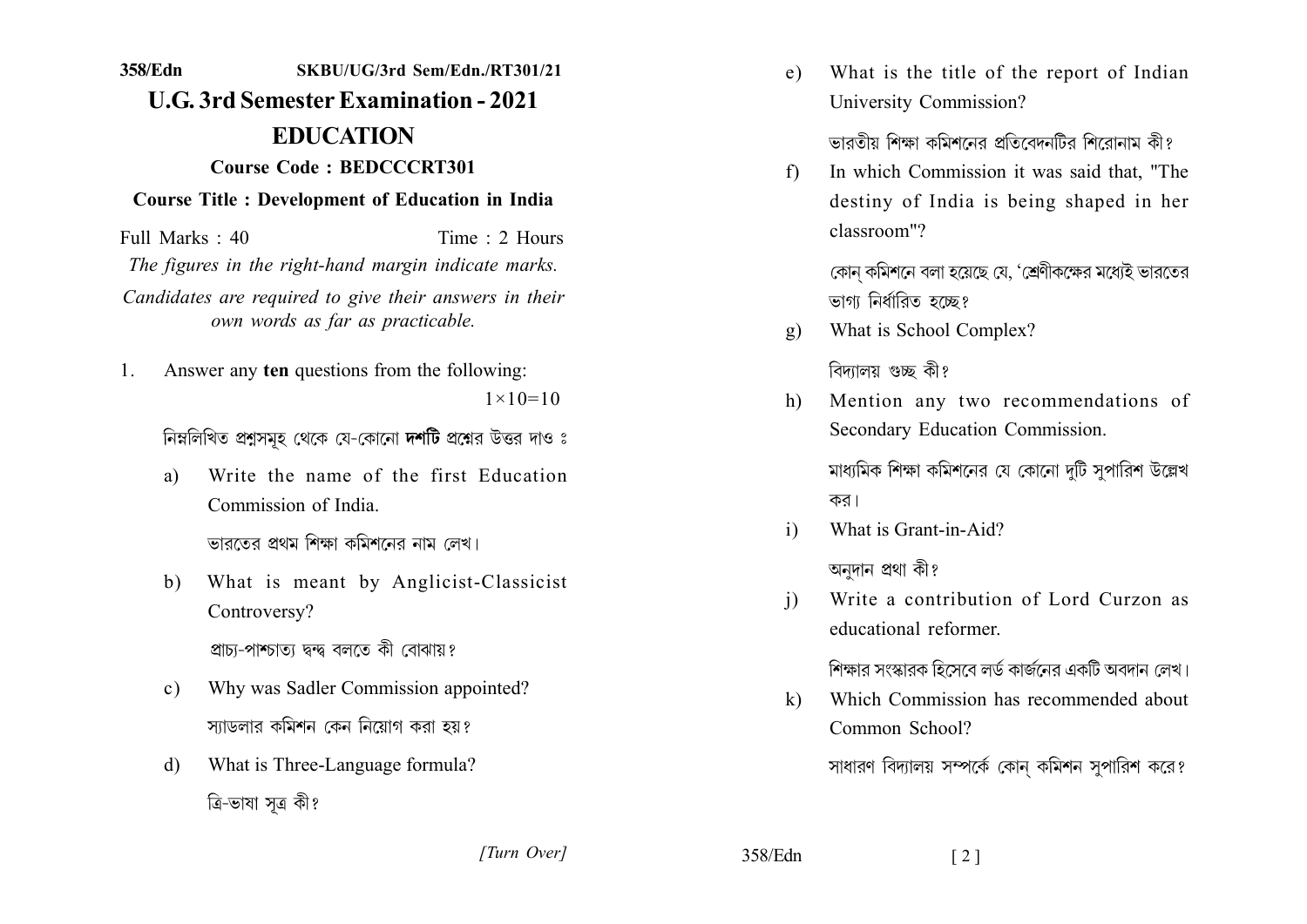## 358/Edn SKBU/UG/3rd Sem/Edn./RT301/21 **U.G. 3rd Semester Examination - 2021 EDUCATION Course Code: BEDCCCRT301 Course Title : Development of Education in India**

Full Marks: 40 Time: 2 Hours The figures in the right-hand margin indicate marks. Candidates are required to give their answers in their own words as far as practicable.

Answer any ten questions from the following:  $\mathbf{1}$  $1 \times 10 = 10$ 

নিম্নলিখিত প্রশ্নসমূহ থেকে যে-কোনো দর্শটি প্রশ্নের উত্তর দাও ঃ

Write the name of the first Education a) Commission of India

ভারতের প্রথম শিক্ষা কমিশনের নাম লেখ।

What is meant by Anglicist-Classicist  $h$ ) Controversy?

প্ৰাচ্য-পাশ্চাতা দ্বন্দ্ব বলতে কী বোঝায়?

- Why was Sadler Commission appointed?  $c)$ স্যাডলার কমিশন কেন নিয়োগ করা হয়?
- What is Three-Language formula?  $\mathbf{d}$ ত্ৰি-ভাষা সত্ৰ কী?

What is the title of the report of Indian  $e)$ University Commission?

ভাবতীয় শিক্ষা কমিশনেব প্ৰতিবেদনটিব শিবোনাম কীং

In which Commission it was said that, "The  $f$ destiny of India is being shaped in her classroom"?

> কোন কমিশনে বলা হয়েছে যে, 'শ্রেণীকক্ষের মধ্যেই ভারতের ভাগা নিৰ্ধারিত হচ্ছে?

What is School Complex?  $\mathbf{g}$ )

বিদ্যালয় গুচ্ছ কী?

Mention any two recommendations of  $h$ Secondary Education Commission.

> মাধ্যমিক শিক্ষা কমিশনের যে কোনো দুটি সুপারিশ উল্লেখ কর।

What is Grant-in-Aid?  $\mathbf{i}$ 

অনুদান প্ৰথা কী?

Write a contribution of Lord Curzon as  $\mathbf{i}$ educational reformer

শিক্ষার সংস্কারক হিসেবে লর্ড কার্জনের একটি অবদান লেখ।

Which Commission has recommended about  $\mathbf{k}$ Common School?

সাধারণ বিদ্যালয় সম্পর্কে কোন কমিশন সুপারিশ করে?

[Turn Over]

358/Edn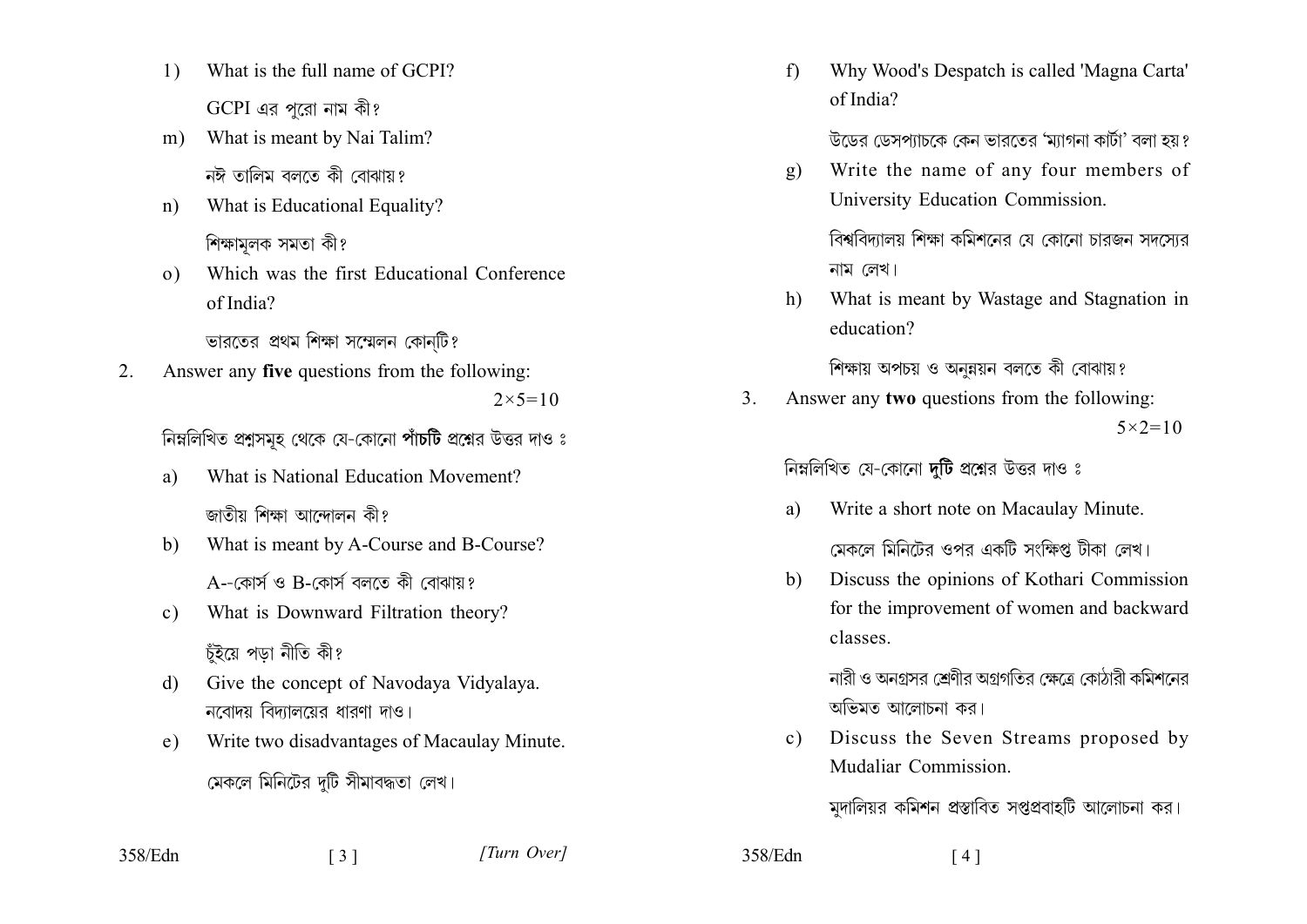- What is the full name of GCPI?  $\left( \right)$  $GCPI$  এর পরো নাম কী?
- What is meant by Nai Talim?  $m$ ) নঈ তালিম বলতে কী বোঝায়?
- What is Educational Equality?  $n)$ শিক্ষামলক সমতা কী?
- Which was the first Educational Conference  $\Omega$ of India?

ভারতের প্রথম শিক্ষা সম্মেলন কোনটি?

Answer any five questions from the following:  $2^{\circ}$  $2 \times 5 = 10$ 

নিম্নলিখিত প্রশ্নসমূহ থেকে যে-কোনো পাঁচটি প্রশ্নের উত্তর দাও ঃ

- What is National Education Movement? a) জাতীয় শিক্ষা আন্দোলন কী?
- What is meant by A-Course and B-Course?  $h$ A--কোৰ্স ও B-কোৰ্স বলতে কী বোঝায়?
- What is Downward Filtration theory?  $c)$ চঁইয়ে পডা নীতি কী?
- Give the concept of Navodaya Vidyalaya.  $\mathbf{d}$ নবোদয় বিদ্যালয়ের ধারণা দাও।
- Write two disadvantages of Macaulay Minute.  $e)$ 
	- মেকলে মিনিটের দটি সীমাবদ্ধতা লেখ।

 $\lceil 3 \rceil$ 

Why Wood's Despatch is called 'Magna Carta'  $f$ of India?

উডের ডেসপ্যাচকে কেন ভারতের 'ম্যাগনা কার্টা' বলা হয় ?

Write the name of any four members of  $\mathfrak{g}$ ) University Education Commission.

বিশ্ববিদ্যালয় শিক্ষা কমিশনের যে কোনো চারজন সদসোর নাম লেখ।

What is meant by Wastage and Stagnation in  $h)$ education?

শিক্ষায় অপচয় ও অনুন্নয়ন বলতে কী বোঝায়?

Answer any two questions from the following: 3.  $5 \times 2 = 10$ 

নিম্নলিখিত যে-কোনো দুটি প্রশ্নের উত্তর দাও ঃ

- Write a short note on Macaulay Minute. a) মেকলে মিনিটের ওপর একটি সংক্ষিপ্ত টীকা লেখ।
- Discuss the opinions of Kothari Commission b) for the improvement of women and backward classes

নারী ও অনগ্রসর শ্রেণীর অগ্রগতির ক্ষেত্রে কোঠারী কমিশনের অভিমত আলোচনা কর।

Discuss the Seven Streams proposed by  $c)$ Mudaliar Commission.

মদালিয়র কমিশন প্রস্তাবিত সপ্তপ্রবাহটি আলোচনা কর।

[Turn Over]

358/Edn